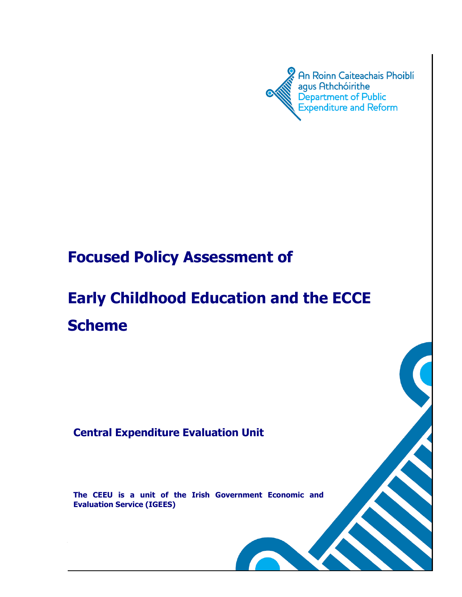

# **Focused Policy Assessment of**

# **Early Childhood Education and the ECCE Scheme**

# **Central Expenditure Evaluation Unit**

**The CEEU is a unit of the Irish Government Economic and Evaluation Service (IGEES)**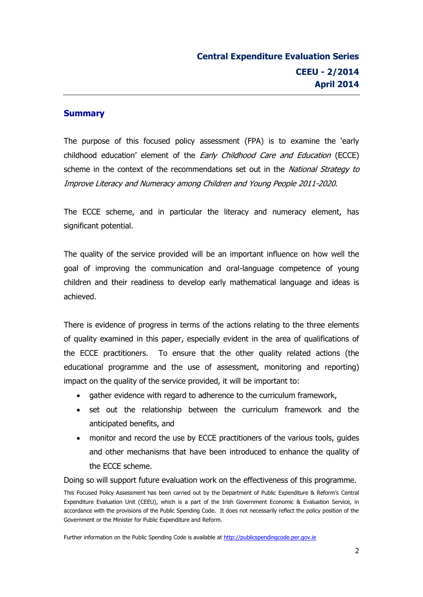#### **Summary**

The purpose of this focused policy assessment (FPA) is to examine the 'early childhood education' element of the *Early Childhood Care and Education* (ECCE) scheme in the context of the recommendations set out in the *National Strategy to* Improve Literacy and Numeracy among Children and Young People 2011-2020.

The ECCE scheme, and in particular the literacy and numeracy element, has significant potential.

The quality of the service provided will be an important influence on how well the goal of improving the communication and oral-language competence of young children and their readiness to develop early mathematical language and ideas is achieved.

There is evidence of progress in terms of the actions relating to the three elements of quality examined in this paper, especially evident in the area of qualifications of the ECCE practitioners. To ensure that the other quality related actions (the educational programme and the use of assessment, monitoring and reporting) impact on the quality of the service provided, it will be important to:

- gather evidence with regard to adherence to the curriculum framework,
- set out the relationship between the curriculum framework and the anticipated benefits, and
- monitor and record the use by ECCE practitioners of the various tools, guides and other mechanisms that have been introduced to enhance the quality of the ECCE scheme.

Doing so will support future evaluation work on the effectiveness of this programme.

This Focused Policy Assessment has been carried out by the Department of Public Expenditure & Reform's Central Expenditure Evaluation Unit (CEEU), which is a part of the Irish Government Economic & Evaluation Service, in accordance with the provisions of the Public Spending Code. It does not necessarily reflect the policy position of the Government or the Minister for Public Expenditure and Reform.

Further information on the Public Spending Code is available at [http://publicspendingcode.per.gov.ie](http://publicspendingcode.per.gov.ie/)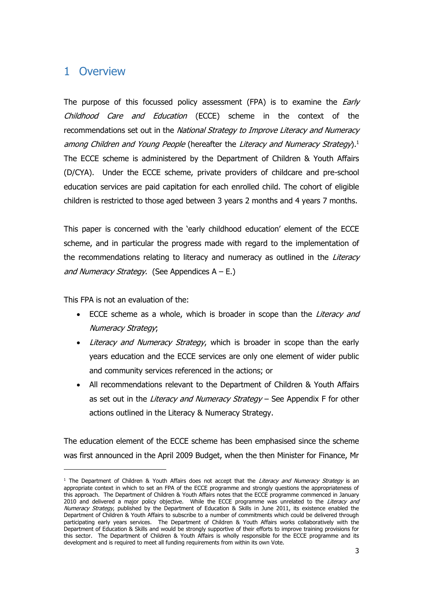# 1 Overview

The purpose of this focussed policy assessment (FPA) is to examine the *Early* Childhood Care and Education (ECCE) scheme in the context of the recommendations set out in the National Strategy to Improve Literacy and Numeracy among Children and Young People (hereafter the Literacy and Numeracy Strategy).<sup>1</sup> The ECCE scheme is administered by the Department of Children & Youth Affairs (D/CYA). Under the ECCE scheme, private providers of childcare and pre-school education services are paid capitation for each enrolled child. The cohort of eligible children is restricted to those aged between 3 years 2 months and 4 years 7 months.

This paper is concerned with the 'early childhood education' element of the ECCE scheme, and in particular the progress made with regard to the implementation of the recommendations relating to literacy and numeracy as outlined in the Literacy and Numeracy Strategy. (See Appendices  $A - E$ .)

This FPA is not an evaluation of the:

-

- ECCE scheme as a whole, which is broader in scope than the Literacy and Numeracy Strategy;
- Literacy and Numeracy Strategy, which is broader in scope than the early years education and the ECCE services are only one element of wider public and community services referenced in the actions; or
- All recommendations relevant to the Department of Children & Youth Affairs as set out in the Literacy and Numeracy Strategy - See Appendix F for other actions outlined in the Literacy & Numeracy Strategy.

The education element of the ECCE scheme has been emphasised since the scheme was first announced in the April 2009 Budget, when the then Minister for Finance, Mr

<sup>&</sup>lt;sup>1</sup> The Department of Children & Youth Affairs does not accept that the Literacy and Numeracy Strategy is an appropriate context in which to set an FPA of the ECCE programme and strongly questions the appropriateness of this approach. The Department of Children & Youth Affairs notes that the ECCE programme commenced in January 2010 and delivered a major policy objective. While the ECCE programme was unrelated to the Literacy and Numeracy Strategy, published by the Department of Education & Skills in June 2011, its existence enabled the Department of Children & Youth Affairs to subscribe to a number of commitments which could be delivered through participating early years services. The Department of Children & Youth Affairs works collaboratively with the Department of Education & Skills and would be strongly supportive of their efforts to improve training provisions for this sector. The Department of Children & Youth Affairs is wholly responsible for the ECCE programme and its development and is required to meet all funding requirements from within its own Vote.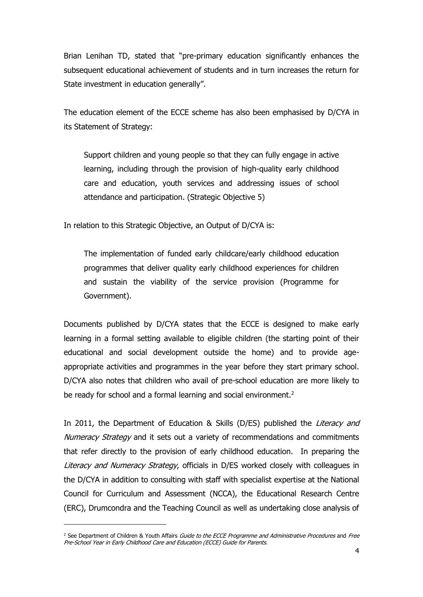Brian Lenihan TD, stated that "pre-primary education significantly enhances the subsequent educational achievement of students and in turn increases the return for State investment in education generally".

The education element of the ECCE scheme has also been emphasised by D/CYA in its Statement of Strategy:

Support children and young people so that they can fully engage in active learning, including through the provision of high-quality early childhood care and education, youth services and addressing issues of school attendance and participation. (Strategic Objective 5)

In relation to this Strategic Objective, an Output of D/CYA is:

The implementation of funded early childcare/early childhood education programmes that deliver quality early childhood experiences for children and sustain the viability of the service provision (Programme for Government).

Documents published by D/CYA states that the ECCE is designed to make early learning in a formal setting available to eligible children (the starting point of their educational and social development outside the home) and to provide ageappropriate activities and programmes in the year before they start primary school. D/CYA also notes that children who avail of pre-school education are more likely to be ready for school and a formal learning and social environment.<sup>2</sup>

In 2011, the Department of Education & Skills (D/ES) published the *Literacy and* Numeracy Strategy and it sets out a variety of recommendations and commitments that refer directly to the provision of early childhood education. In preparing the Literacy and Numeracy Strategy, officials in D/ES worked closely with colleagues in the D/CYA in addition to consulting with staff with specialist expertise at the National Council for Curriculum and Assessment (NCCA), the Educational Research Centre (ERC), Drumcondra and the Teaching Council as well as undertaking close analysis of

-

<sup>&</sup>lt;sup>2</sup> See Department of Children & Youth Affairs Guide to the ECCE Programme and Administrative Procedures and Free Pre-School Year in Early Childhood Care and Education (ECCE) Guide for Parents.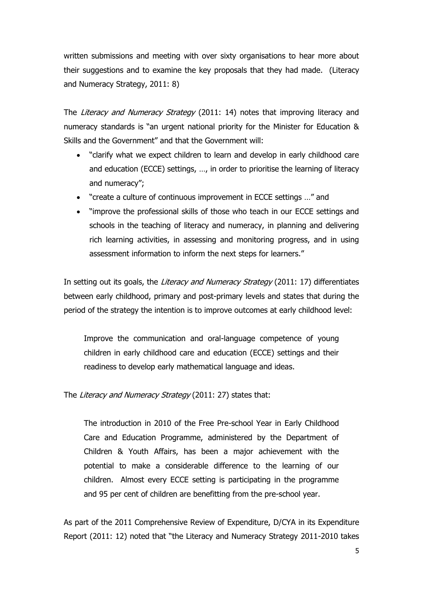written submissions and meeting with over sixty organisations to hear more about their suggestions and to examine the key proposals that they had made. (Literacy and Numeracy Strategy, 2011: 8)

The Literacy and Numeracy Strategy (2011: 14) notes that improving literacy and numeracy standards is "an urgent national priority for the Minister for Education & Skills and the Government" and that the Government will:

- "clarify what we expect children to learn and develop in early childhood care and education (ECCE) settings, …, in order to prioritise the learning of literacy and numeracy";
- "create a culture of continuous improvement in ECCE settings …" and
- "improve the professional skills of those who teach in our ECCE settings and schools in the teaching of literacy and numeracy, in planning and delivering rich learning activities, in assessing and monitoring progress, and in using assessment information to inform the next steps for learners."

In setting out its goals, the *Literacy and Numeracy Strategy* (2011: 17) differentiates between early childhood, primary and post-primary levels and states that during the period of the strategy the intention is to improve outcomes at early childhood level:

Improve the communication and oral-language competence of young children in early childhood care and education (ECCE) settings and their readiness to develop early mathematical language and ideas.

The Literacy and Numeracy Strategy (2011: 27) states that:

The introduction in 2010 of the Free Pre-school Year in Early Childhood Care and Education Programme, administered by the Department of Children & Youth Affairs, has been a major achievement with the potential to make a considerable difference to the learning of our children. Almost every ECCE setting is participating in the programme and 95 per cent of children are benefitting from the pre-school year.

As part of the 2011 Comprehensive Review of Expenditure, D/CYA in its Expenditure Report (2011: 12) noted that "the Literacy and Numeracy Strategy 2011-2010 takes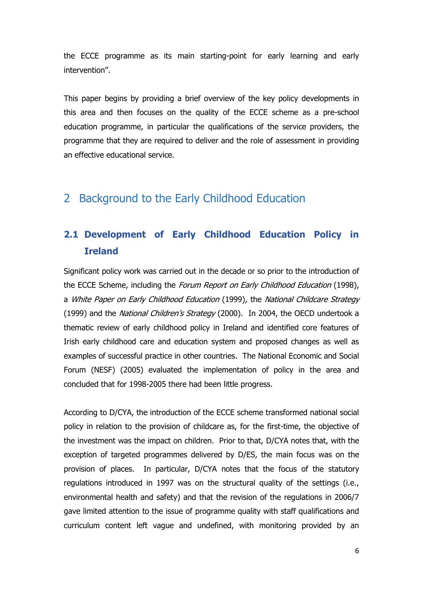the ECCE programme as its main starting-point for early learning and early intervention".

This paper begins by providing a brief overview of the key policy developments in this area and then focuses on the quality of the ECCE scheme as a pre-school education programme, in particular the qualifications of the service providers, the programme that they are required to deliver and the role of assessment in providing an effective educational service.

# 2 Background to the Early Childhood Education

# **2.1 Development of Early Childhood Education Policy in Ireland**

Significant policy work was carried out in the decade or so prior to the introduction of the ECCE Scheme, including the Forum Report on Early Childhood Education (1998), a White Paper on Early Childhood Education (1999), the National Childcare Strategy (1999) and the National Children's Strategy (2000). In 2004, the OECD undertook a thematic review of early childhood policy in Ireland and identified core features of Irish early childhood care and education system and proposed changes as well as examples of successful practice in other countries. The National Economic and Social Forum (NESF) (2005) evaluated the implementation of policy in the area and concluded that for 1998-2005 there had been little progress.

According to D/CYA, the introduction of the ECCE scheme transformed national social policy in relation to the provision of childcare as, for the first-time, the objective of the investment was the impact on children. Prior to that, D/CYA notes that, with the exception of targeted programmes delivered by D/ES, the main focus was on the provision of places. In particular, D/CYA notes that the focus of the statutory regulations introduced in 1997 was on the structural quality of the settings (i.e., environmental health and safety) and that the revision of the regulations in 2006/7 gave limited attention to the issue of programme quality with staff qualifications and curriculum content left vague and undefined, with monitoring provided by an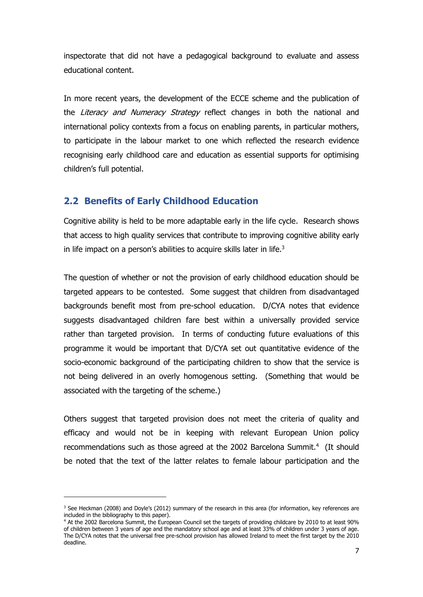inspectorate that did not have a pedagogical background to evaluate and assess educational content.

In more recent years, the development of the ECCE scheme and the publication of the Literacy and Numeracy Strategy reflect changes in both the national and international policy contexts from a focus on enabling parents, in particular mothers, to participate in the labour market to one which reflected the research evidence recognising early childhood care and education as essential supports for optimising children's full potential.

## **2.2 Benefits of Early Childhood Education**

Cognitive ability is held to be more adaptable early in the life cycle. Research shows that access to high quality services that contribute to improving cognitive ability early in life impact on a person's abilities to acquire skills later in life. $3$ 

The question of whether or not the provision of early childhood education should be targeted appears to be contested. Some suggest that children from disadvantaged backgrounds benefit most from pre-school education. D/CYA notes that evidence suggests disadvantaged children fare best within a universally provided service rather than targeted provision. In terms of conducting future evaluations of this programme it would be important that D/CYA set out quantitative evidence of the socio-economic background of the participating children to show that the service is not being delivered in an overly homogenous setting. (Something that would be associated with the targeting of the scheme.)

Others suggest that targeted provision does not meet the criteria of quality and efficacy and would not be in keeping with relevant European Union policy recommendations such as those agreed at the 2002 Barcelona Summit.<sup>4</sup> (It should be noted that the text of the latter relates to female labour participation and the

-

 $3$  See Heckman (2008) and Doyle's (2012) summary of the research in this area (for information, key references are included in the bibliography to this paper).

<sup>4</sup> At the 2002 Barcelona Summit, the European Council set the targets of providing childcare by 2010 to at least 90% of children between 3 years of age and the mandatory school age and at least 33% of children under 3 years of age. The D/CYA notes that the universal free pre-school provision has allowed Ireland to meet the first target by the 2010 deadline.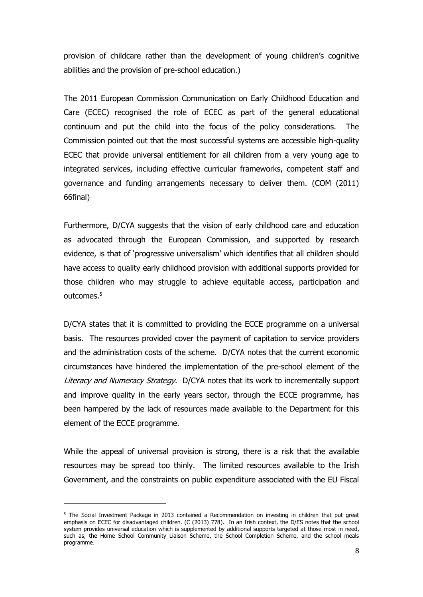provision of childcare rather than the development of young children's cognitive abilities and the provision of pre-school education.)

The 2011 European Commission Communication on Early Childhood Education and Care (ECEC) recognised the role of ECEC as part of the general educational continuum and put the child into the focus of the policy considerations. The Commission pointed out that the most successful systems are accessible high-quality ECEC that provide universal entitlement for all children from a very young age to integrated services, including effective curricular frameworks, competent staff and governance and funding arrangements necessary to deliver them. (COM (2011) 66final)

Furthermore, D/CYA suggests that the vision of early childhood care and education as advocated through the European Commission, and supported by research evidence, is that of 'progressive universalism' which identifies that all children should have access to quality early childhood provision with additional supports provided for those children who may struggle to achieve equitable access, participation and outcomes.<sup>5</sup>

D/CYA states that it is committed to providing the ECCE programme on a universal basis. The resources provided cover the payment of capitation to service providers and the administration costs of the scheme. D/CYA notes that the current economic circumstances have hindered the implementation of the pre-school element of the Literacy and Numeracy Strategy. D/CYA notes that its work to incrementally support and improve quality in the early years sector, through the ECCE programme, has been hampered by the lack of resources made available to the Department for this element of the ECCE programme.

While the appeal of universal provision is strong, there is a risk that the available resources may be spread too thinly. The limited resources available to the Irish Government, and the constraints on public expenditure associated with the EU Fiscal

-

<sup>&</sup>lt;sup>5</sup> The Social Investment Package in 2013 contained a Recommendation on investing in children that put great emphasis on ECEC for disadvantaged children. (C (2013) 778). In an Irish context, the D/ES notes that the school system provides universal education which is supplemented by additional supports targeted at those most in need, such as, the Home School Community Liaison Scheme, the School Completion Scheme, and the school meals programme.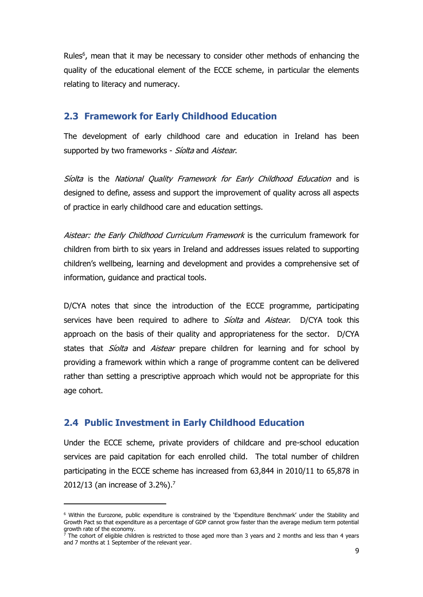Rules<sup>6</sup>, mean that it may be necessary to consider other methods of enhancing the quality of the educational element of the ECCE scheme, in particular the elements relating to literacy and numeracy.

#### **2.3 Framework for Early Childhood Education**

The development of early childhood care and education in Ireland has been supported by two frameworks - Siolta and Aistear.

Siolta is the National Quality Framework for Early Childhood Education and is designed to define, assess and support the improvement of quality across all aspects of practice in early childhood care and education settings.

Aistear: the Early Childhood Curriculum Framework is the curriculum framework for children from birth to six years in Ireland and addresses issues related to supporting children's wellbeing, learning and development and provides a comprehensive set of information, guidance and practical tools.

D/CYA notes that since the introduction of the ECCE programme, participating services have been required to adhere to *Síolta* and *Aistear*. D/CYA took this approach on the basis of their quality and appropriateness for the sector. D/CYA states that *Siolta* and *Aistear* prepare children for learning and for school by providing a framework within which a range of programme content can be delivered rather than setting a prescriptive approach which would not be appropriate for this age cohort.

#### **2.4 Public Investment in Early Childhood Education**

-

Under the ECCE scheme, private providers of childcare and pre-school education services are paid capitation for each enrolled child. The total number of children participating in the ECCE scheme has increased from 63,844 in 2010/11 to 65,878 in 2012/13 (an increase of 3.2%).<sup>7</sup>

<sup>6</sup> Within the Eurozone, public expenditure is constrained by the 'Expenditure Benchmark' under the Stability and Growth Pact so that expenditure as a percentage of GDP cannot grow faster than the average medium term potential growth rate of the economy.

 $\vec{7}$  The cohort of eligible children is restricted to those aged more than 3 years and 2 months and less than 4 years and 7 months at 1 September of the relevant year.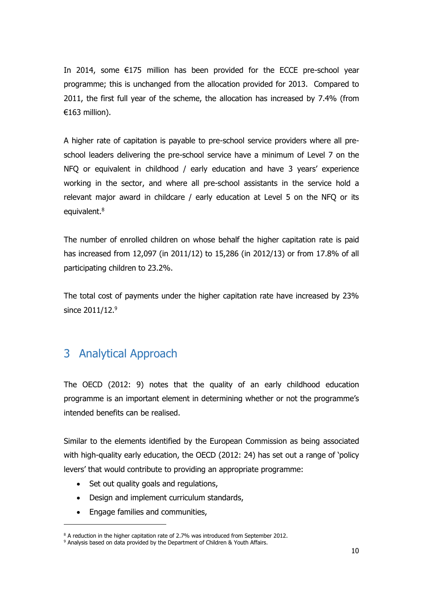In 2014, some €175 million has been provided for the ECCE pre-school year programme; this is unchanged from the allocation provided for 2013. Compared to 2011, the first full year of the scheme, the allocation has increased by 7.4% (from €163 million).

A higher rate of capitation is payable to pre-school service providers where all preschool leaders delivering the pre-school service have a minimum of Level 7 on the NFQ or equivalent in childhood / early education and have 3 years' experience working in the sector, and where all pre-school assistants in the service hold a relevant major award in childcare / early education at Level 5 on the NFQ or its equivalent.<sup>8</sup>

The number of enrolled children on whose behalf the higher capitation rate is paid has increased from 12,097 (in 2011/12) to 15,286 (in 2012/13) or from 17.8% of all participating children to 23.2%.

The total cost of payments under the higher capitation rate have increased by 23% since 2011/12.<sup>9</sup>

# 3 Analytical Approach

The OECD (2012: 9) notes that the quality of an early childhood education programme is an important element in determining whether or not the programme's intended benefits can be realised.

Similar to the elements identified by the European Commission as being associated with high-quality early education, the OECD (2012: 24) has set out a range of 'policy levers' that would contribute to providing an appropriate programme:

- Set out quality goals and regulations,
- Design and implement curriculum standards,
- Engage families and communities,

-

<sup>&</sup>lt;sup>8</sup> A reduction in the higher capitation rate of 2.7% was introduced from September 2012.

<sup>&</sup>lt;sup>9</sup> Analysis based on data provided by the Department of Children & Youth Affairs.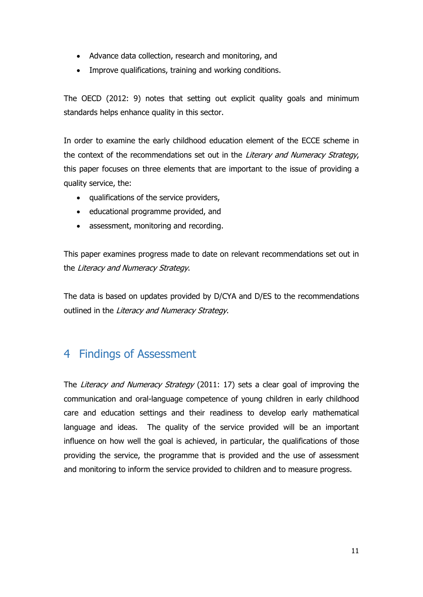- Advance data collection, research and monitoring, and
- Improve qualifications, training and working conditions.

The OECD (2012: 9) notes that setting out explicit quality goals and minimum standards helps enhance quality in this sector.

In order to examine the early childhood education element of the ECCE scheme in the context of the recommendations set out in the Literary and Numeracy Strategy, this paper focuses on three elements that are important to the issue of providing a quality service, the:

- qualifications of the service providers,
- educational programme provided, and
- assessment, monitoring and recording.

This paper examines progress made to date on relevant recommendations set out in the Literacy and Numeracy Strategy.

The data is based on updates provided by D/CYA and D/ES to the recommendations outlined in the Literacy and Numeracy Strategy.

# 4 Findings of Assessment

The Literacy and Numeracy Strategy (2011: 17) sets a clear goal of improving the communication and oral-language competence of young children in early childhood care and education settings and their readiness to develop early mathematical language and ideas. The quality of the service provided will be an important influence on how well the goal is achieved, in particular, the qualifications of those providing the service, the programme that is provided and the use of assessment and monitoring to inform the service provided to children and to measure progress.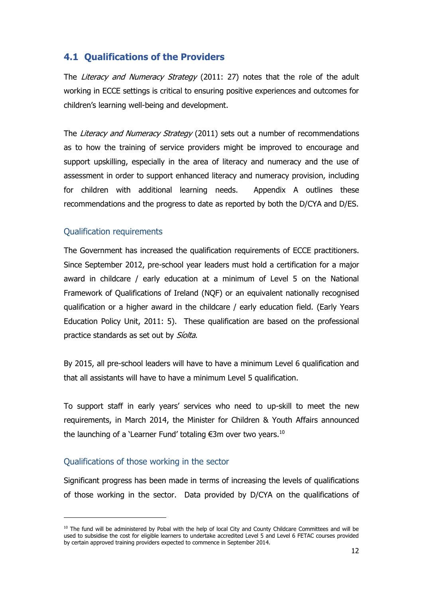## **4.1 Qualifications of the Providers**

The Literacy and Numeracy Strategy (2011: 27) notes that the role of the adult working in ECCE settings is critical to ensuring positive experiences and outcomes for children's learning well-being and development.

The Literacy and Numeracy Strategy (2011) sets out a number of recommendations as to how the training of service providers might be improved to encourage and support upskilling, especially in the area of literacy and numeracy and the use of assessment in order to support enhanced literacy and numeracy provision, including for children with additional learning needs. Appendix A outlines these recommendations and the progress to date as reported by both the D/CYA and D/ES.

## Qualification requirements

The Government has increased the qualification requirements of ECCE practitioners. Since September 2012, pre-school year leaders must hold a certification for a major award in childcare / early education at a minimum of Level 5 on the National Framework of Qualifications of Ireland (NQF) or an equivalent nationally recognised qualification or a higher award in the childcare / early education field. (Early Years Education Policy Unit, 2011: 5). These qualification are based on the professional practice standards as set out by Siolta.

By 2015, all pre-school leaders will have to have a minimum Level 6 qualification and that all assistants will have to have a minimum Level 5 qualification.

To support staff in early years' services who need to up-skill to meet the new requirements, in March 2014, the Minister for Children & Youth Affairs announced the launching of a 'Learner Fund' totaling  $\epsilon$ 3m over two years.<sup>10</sup>

#### Qualifications of those working in the sector

Significant progress has been made in terms of increasing the levels of qualifications of those working in the sector. Data provided by D/CYA on the qualifications of

 $10$  The fund will be administered by Pobal with the help of local City and County Childcare Committees and will be used to subsidise the cost for eligible learners to undertake accredited Level 5 and Level 6 FETAC courses provided by certain approved training providers expected to commence in September 2014.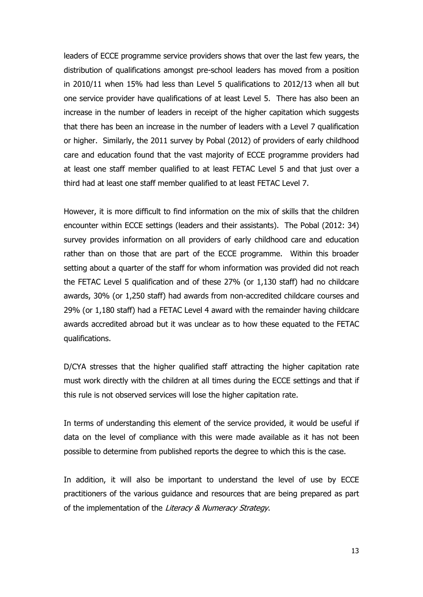leaders of ECCE programme service providers shows that over the last few years, the distribution of qualifications amongst pre-school leaders has moved from a position in 2010/11 when 15% had less than Level 5 qualifications to 2012/13 when all but one service provider have qualifications of at least Level 5. There has also been an increase in the number of leaders in receipt of the higher capitation which suggests that there has been an increase in the number of leaders with a Level 7 qualification or higher. Similarly, the 2011 survey by Pobal (2012) of providers of early childhood care and education found that the vast majority of ECCE programme providers had at least one staff member qualified to at least FETAC Level 5 and that just over a third had at least one staff member qualified to at least FETAC Level 7.

However, it is more difficult to find information on the mix of skills that the children encounter within ECCE settings (leaders and their assistants). The Pobal (2012: 34) survey provides information on all providers of early childhood care and education rather than on those that are part of the ECCE programme. Within this broader setting about a quarter of the staff for whom information was provided did not reach the FETAC Level 5 qualification and of these 27% (or 1,130 staff) had no childcare awards, 30% (or 1,250 staff) had awards from non-accredited childcare courses and 29% (or 1,180 staff) had a FETAC Level 4 award with the remainder having childcare awards accredited abroad but it was unclear as to how these equated to the FETAC qualifications.

D/CYA stresses that the higher qualified staff attracting the higher capitation rate must work directly with the children at all times during the ECCE settings and that if this rule is not observed services will lose the higher capitation rate.

In terms of understanding this element of the service provided, it would be useful if data on the level of compliance with this were made available as it has not been possible to determine from published reports the degree to which this is the case.

In addition, it will also be important to understand the level of use by ECCE practitioners of the various guidance and resources that are being prepared as part of the implementation of the Literacy & Numeracy Strategy.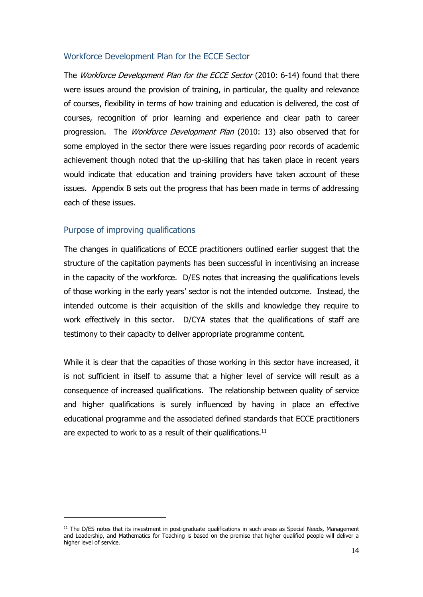#### Workforce Development Plan for the ECCE Sector

The *Workforce Development Plan for the ECCE Sector* (2010: 6-14) found that there were issues around the provision of training, in particular, the quality and relevance of courses, flexibility in terms of how training and education is delivered, the cost of courses, recognition of prior learning and experience and clear path to career progression. The Workforce Development Plan (2010: 13) also observed that for some employed in the sector there were issues regarding poor records of academic achievement though noted that the up-skilling that has taken place in recent years would indicate that education and training providers have taken account of these issues. Appendix B sets out the progress that has been made in terms of addressing each of these issues.

#### Purpose of improving qualifications

The changes in qualifications of ECCE practitioners outlined earlier suggest that the structure of the capitation payments has been successful in incentivising an increase in the capacity of the workforce. D/ES notes that increasing the qualifications levels of those working in the early years' sector is not the intended outcome. Instead, the intended outcome is their acquisition of the skills and knowledge they require to work effectively in this sector. D/CYA states that the qualifications of staff are testimony to their capacity to deliver appropriate programme content.

While it is clear that the capacities of those working in this sector have increased, it is not sufficient in itself to assume that a higher level of service will result as a consequence of increased qualifications. The relationship between quality of service and higher qualifications is surely influenced by having in place an effective educational programme and the associated defined standards that ECCE practitioners are expected to work to as a result of their qualifications.<sup>11</sup>

 $11$  The D/ES notes that its investment in post-graduate qualifications in such areas as Special Needs, Management and Leadership, and Mathematics for Teaching is based on the premise that higher qualified people will deliver a higher level of service.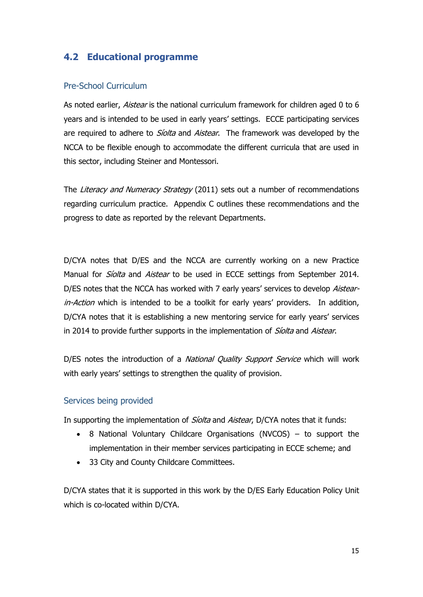## **4.2 Educational programme**

#### Pre-School Curriculum

As noted earlier, *Aistear* is the national curriculum framework for children aged 0 to 6 years and is intended to be used in early years' settings. ECCE participating services are required to adhere to *Síolta* and *Aistear*. The framework was developed by the NCCA to be flexible enough to accommodate the different curricula that are used in this sector, including Steiner and Montessori.

The Literacy and Numeracy Strategy (2011) sets out a number of recommendations regarding curriculum practice. Appendix C outlines these recommendations and the progress to date as reported by the relevant Departments.

D/CYA notes that D/ES and the NCCA are currently working on a new Practice Manual for *Siolta* and *Aistear* to be used in ECCE settings from September 2014. D/ES notes that the NCCA has worked with 7 early years' services to develop Aistearin-Action which is intended to be a toolkit for early years' providers. In addition, D/CYA notes that it is establishing a new mentoring service for early years' services in 2014 to provide further supports in the implementation of *Siolta* and Aistear.

D/ES notes the introduction of a National Quality Support Service which will work with early years' settings to strengthen the quality of provision.

#### Services being provided

In supporting the implementation of *Síolta* and Aistear, D/CYA notes that it funds:

- 8 National Voluntary Childcare Organisations (NVCOS) to support the implementation in their member services participating in ECCE scheme; and
- 33 City and County Childcare Committees.

D/CYA states that it is supported in this work by the D/ES Early Education Policy Unit which is co-located within D/CYA.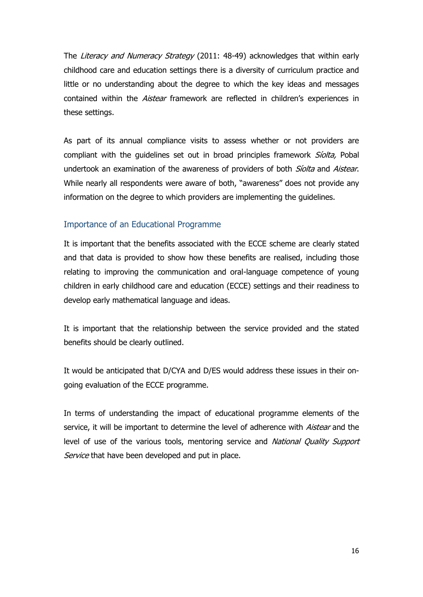The Literacy and Numeracy Strategy (2011: 48-49) acknowledges that within early childhood care and education settings there is a diversity of curriculum practice and little or no understanding about the degree to which the key ideas and messages contained within the *Aistear* framework are reflected in children's experiences in these settings.

As part of its annual compliance visits to assess whether or not providers are compliant with the quidelines set out in broad principles framework *Siolta*, Pobal undertook an examination of the awareness of providers of both *Siolta* and Aistear. While nearly all respondents were aware of both, "awareness" does not provide any information on the degree to which providers are implementing the guidelines.

#### Importance of an Educational Programme

It is important that the benefits associated with the ECCE scheme are clearly stated and that data is provided to show how these benefits are realised, including those relating to improving the communication and oral-language competence of young children in early childhood care and education (ECCE) settings and their readiness to develop early mathematical language and ideas.

It is important that the relationship between the service provided and the stated benefits should be clearly outlined.

It would be anticipated that D/CYA and D/ES would address these issues in their ongoing evaluation of the ECCE programme.

In terms of understanding the impact of educational programme elements of the service, it will be important to determine the level of adherence with Aistear and the level of use of the various tools, mentoring service and National Quality Support Service that have been developed and put in place.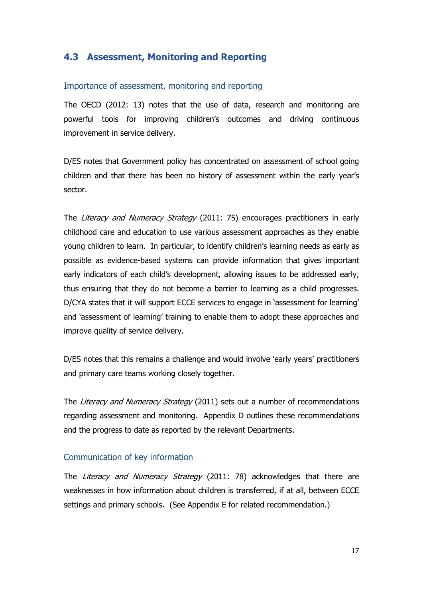## **4.3 Assessment, Monitoring and Reporting**

#### Importance of assessment, monitoring and reporting

The OECD (2012: 13) notes that the use of data, research and monitoring are powerful tools for improving children's outcomes and driving continuous improvement in service delivery.

D/ES notes that Government policy has concentrated on assessment of school going children and that there has been no history of assessment within the early year's sector.

The Literacy and Numeracy Strategy (2011: 75) encourages practitioners in early childhood care and education to use various assessment approaches as they enable young children to learn. In particular, to identify children's learning needs as early as possible as evidence-based systems can provide information that gives important early indicators of each child's development, allowing issues to be addressed early, thus ensuring that they do not become a barrier to learning as a child progresses. D/CYA states that it will support ECCE services to engage in 'assessment for learning' and 'assessment of learning' training to enable them to adopt these approaches and improve quality of service delivery.

D/ES notes that this remains a challenge and would involve 'early years' practitioners and primary care teams working closely together.

The Literacy and Numeracy Strategy (2011) sets out a number of recommendations regarding assessment and monitoring. Appendix D outlines these recommendations and the progress to date as reported by the relevant Departments.

## Communication of key information

The Literacy and Numeracy Strategy (2011: 78) acknowledges that there are weaknesses in how information about children is transferred, if at all, between ECCE settings and primary schools. (See Appendix E for related recommendation.)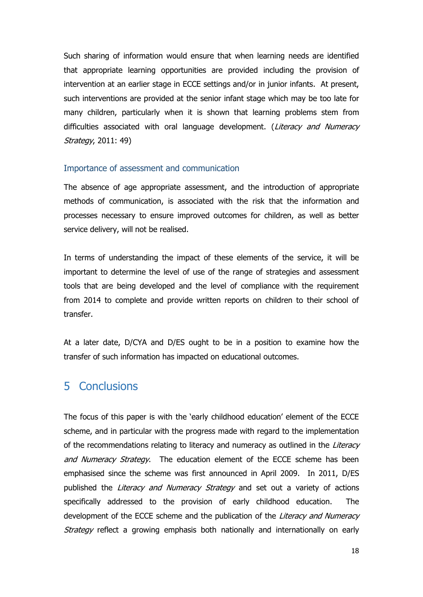Such sharing of information would ensure that when learning needs are identified that appropriate learning opportunities are provided including the provision of intervention at an earlier stage in ECCE settings and/or in junior infants. At present, such interventions are provided at the senior infant stage which may be too late for many children, particularly when it is shown that learning problems stem from difficulties associated with oral language development. (Literacy and Numeracy Strategy, 2011: 49)

#### Importance of assessment and communication

The absence of age appropriate assessment, and the introduction of appropriate methods of communication, is associated with the risk that the information and processes necessary to ensure improved outcomes for children, as well as better service delivery, will not be realised.

In terms of understanding the impact of these elements of the service, it will be important to determine the level of use of the range of strategies and assessment tools that are being developed and the level of compliance with the requirement from 2014 to complete and provide written reports on children to their school of transfer.

At a later date, D/CYA and D/ES ought to be in a position to examine how the transfer of such information has impacted on educational outcomes.

# 5 Conclusions

The focus of this paper is with the 'early childhood education' element of the ECCE scheme, and in particular with the progress made with regard to the implementation of the recommendations relating to literacy and numeracy as outlined in the Literacy and Numeracy Strategy. The education element of the ECCE scheme has been emphasised since the scheme was first announced in April 2009. In 2011, D/ES published the *Literacy and Numeracy Strategy* and set out a variety of actions specifically addressed to the provision of early childhood education. The development of the ECCE scheme and the publication of the Literacy and Numeracy Strategy reflect a growing emphasis both nationally and internationally on early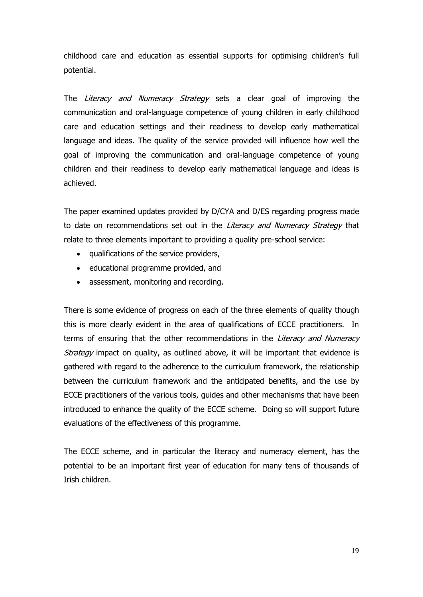childhood care and education as essential supports for optimising children's full potential.

The Literacy and Numeracy Strategy sets a clear goal of improving the communication and oral-language competence of young children in early childhood care and education settings and their readiness to develop early mathematical language and ideas. The quality of the service provided will influence how well the goal of improving the communication and oral-language competence of young children and their readiness to develop early mathematical language and ideas is achieved.

The paper examined updates provided by D/CYA and D/ES regarding progress made to date on recommendations set out in the Literacy and Numeracy Strategy that relate to three elements important to providing a quality pre-school service:

- qualifications of the service providers,
- educational programme provided, and
- assessment, monitoring and recording.

There is some evidence of progress on each of the three elements of quality though this is more clearly evident in the area of qualifications of ECCE practitioners. In terms of ensuring that the other recommendations in the Literacy and Numeracy Strategy impact on quality, as outlined above, it will be important that evidence is gathered with regard to the adherence to the curriculum framework, the relationship between the curriculum framework and the anticipated benefits, and the use by ECCE practitioners of the various tools, guides and other mechanisms that have been introduced to enhance the quality of the ECCE scheme. Doing so will support future evaluations of the effectiveness of this programme.

The ECCE scheme, and in particular the literacy and numeracy element, has the potential to be an important first year of education for many tens of thousands of Irish children.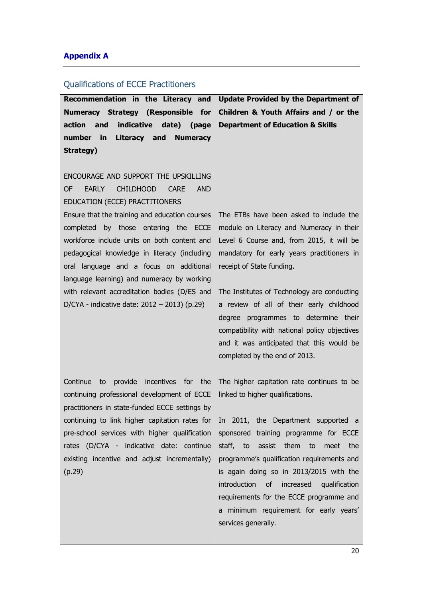#### **Appendix A**

#### Qualifications of ECCE Practitioners

**Recommendation in the Literacy and Numeracy Strategy (Responsible for action and indicative date) (page number in Literacy and Numeracy Strategy) Update Provided by the Department of Children & Youth Affairs and / or the Department of Education & Skills** ENCOURAGE AND SUPPORT THE UPSKILLING OF EARLY CHILDHOOD CARE AND EDUCATION (ECCE) PRACTITIONERS Ensure that the training and education courses completed by those entering the ECCE workforce include units on both content and pedagogical knowledge in literacy (including oral language and a focus on additional language learning) and numeracy by working with relevant accreditation bodies (D/ES and D/CYA - indicative date: 2012 – 2013) (p.29) The ETBs have been asked to include the module on Literacy and Numeracy in their Level 6 Course and, from 2015, it will be mandatory for early years practitioners in receipt of State funding. The Institutes of Technology are conducting a review of all of their early childhood degree programmes to determine their compatibility with national policy objectives and it was anticipated that this would be completed by the end of 2013. Continue to provide incentives for the continuing professional development of ECCE practitioners in state-funded ECCE settings by continuing to link higher capitation rates for pre-school services with higher qualification rates (D/CYA - indicative date: continue existing incentive and adjust incrementally) (p.29) The higher capitation rate continues to be linked to higher qualifications. In 2011, the Department supported a sponsored training programme for ECCE staff, to assist them to meet the programme's qualification requirements and is again doing so in 2013/2015 with the introduction of increased qualification requirements for the ECCE programme and a minimum requirement for early years'

services generally.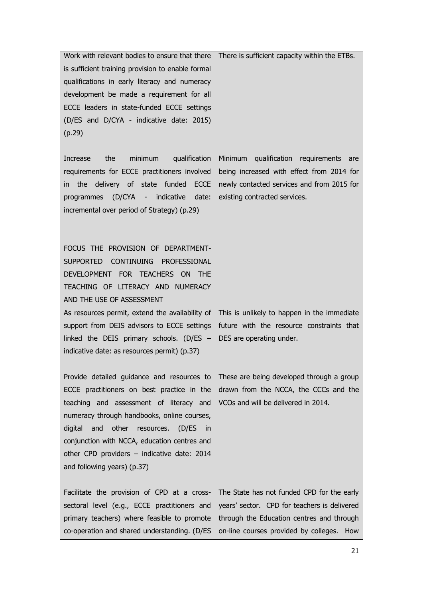| Work with relevant bodies to ensure that there                                           | There is sufficient capacity within the ETBs.                                      |
|------------------------------------------------------------------------------------------|------------------------------------------------------------------------------------|
| is sufficient training provision to enable formal                                        |                                                                                    |
| qualifications in early literacy and numeracy                                            |                                                                                    |
| development be made a requirement for all                                                |                                                                                    |
| ECCE leaders in state-funded ECCE settings                                               |                                                                                    |
| (D/ES and D/CYA - indicative date: 2015)                                                 |                                                                                    |
| (p.29)                                                                                   |                                                                                    |
|                                                                                          |                                                                                    |
| minimum<br>qualification<br>Increase<br>the                                              | Minimum qualification requirements are                                             |
| requirements for ECCE practitioners involved                                             | being increased with effect from 2014 for                                          |
| delivery of state funded<br><b>ECCE</b><br>the<br>in.                                    | newly contacted services and from 2015 for                                         |
| programmes (D/CYA - indicative<br>date:                                                  | existing contracted services.                                                      |
| incremental over period of Strategy) (p.29)                                              |                                                                                    |
|                                                                                          |                                                                                    |
|                                                                                          |                                                                                    |
| FOCUS THE PROVISION OF DEPARTMENT-                                                       |                                                                                    |
| <b>SUPPORTED</b><br>CONTINUING PROFESSIONAL                                              |                                                                                    |
| DEVELOPMENT FOR TEACHERS ON<br><b>THE</b>                                                |                                                                                    |
| TEACHING OF LITERACY AND NUMERACY                                                        |                                                                                    |
| AND THE USE OF ASSESSMENT                                                                |                                                                                    |
| As resources permit, extend the availability of                                          | This is unlikely to happen in the immediate                                        |
| support from DEIS advisors to ECCE settings                                              | future with the resource constraints that                                          |
| linked the DEIS primary schools. (D/ES $-$                                               | DES are operating under.                                                           |
| indicative date: as resources permit) (p.37)                                             |                                                                                    |
|                                                                                          |                                                                                    |
| Provide detailed guidance and resources to<br>ECCE practitioners on best practice in the | These are being developed through a group<br>drawn from the NCCA, the CCCs and the |
| teaching and assessment of literacy and                                                  | VCOs and will be delivered in 2014.                                                |
|                                                                                          |                                                                                    |
| numeracy through handbooks, online courses,<br>and<br>other<br>resources.                |                                                                                    |
| digital<br>(D/ES)<br>in.<br>conjunction with NCCA, education centres and                 |                                                                                    |
| other CPD providers - indicative date: 2014                                              |                                                                                    |
|                                                                                          |                                                                                    |
| and following years) (p.37)                                                              |                                                                                    |
| Facilitate the provision of CPD at a cross-                                              | The State has not funded CPD for the early                                         |
| sectoral level (e.g., ECCE practitioners and                                             | years' sector. CPD for teachers is delivered                                       |
| primary teachers) where feasible to promote                                              | through the Education centres and through                                          |
| co-operation and shared understanding. (D/ES                                             | on-line courses provided by colleges.<br>How                                       |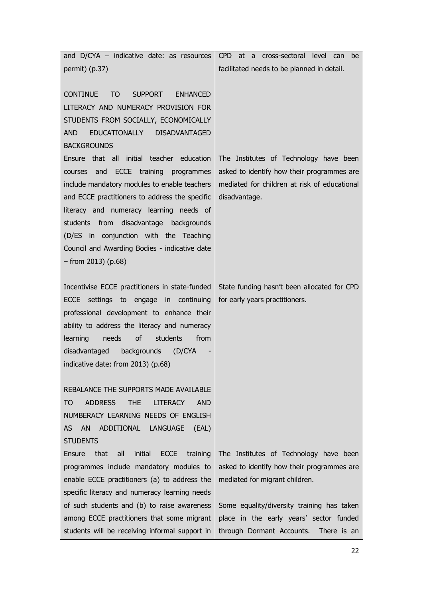| and D/CYA - indicative date: as resources                                               | cross-sectoral level can<br>CPD at a<br>be                                    |
|-----------------------------------------------------------------------------------------|-------------------------------------------------------------------------------|
| permit) $(p.37)$                                                                        | facilitated needs to be planned in detail.                                    |
|                                                                                         |                                                                               |
| <b>CONTINUE</b><br><b>ENHANCED</b><br>T <sub>O</sub><br><b>SUPPORT</b>                  |                                                                               |
| LITERACY AND NUMERACY PROVISION FOR                                                     |                                                                               |
| STUDENTS FROM SOCIALLY, ECONOMICALLY                                                    |                                                                               |
| EDUCATIONALLY DISADVANTAGED<br>AND                                                      |                                                                               |
| <b>BACKGROUNDS</b>                                                                      |                                                                               |
| Ensure that all initial teacher education                                               | The Institutes of Technology have been                                        |
| ECCE training programmes<br>and<br>courses                                              | asked to identify how their programmes are                                    |
| include mandatory modules to enable teachers                                            | mediated for children at risk of educational                                  |
| and ECCE practitioners to address the specific                                          | disadvantage.                                                                 |
| literacy and numeracy learning needs of                                                 |                                                                               |
| students from disadvantage backgrounds                                                  |                                                                               |
| (D/ES in conjunction with the Teaching                                                  |                                                                               |
| Council and Awarding Bodies - indicative date                                           |                                                                               |
| $-$ from 2013) (p.68)                                                                   |                                                                               |
|                                                                                         |                                                                               |
| Incentivise ECCE practitioners in state-funded<br>ECCE settings to engage in continuing | State funding hasn't been allocated for CPD<br>for early years practitioners. |
| professional development to enhance their                                               |                                                                               |
| ability to address the literacy and numeracy                                            |                                                                               |
| of<br>from<br>learning<br>needs<br>students                                             |                                                                               |
| disadvantaged backgrounds<br>(D/CYA)                                                    |                                                                               |
| indicative date: from 2013) (p.68)                                                      |                                                                               |
|                                                                                         |                                                                               |
| REBALANCE THE SUPPORTS MADE AVAILABLE                                                   |                                                                               |
| <b>ADDRESS</b><br><b>LITERACY</b><br>TO<br><b>THE</b><br><b>AND</b>                     |                                                                               |
| NUMBERACY LEARNING NEEDS OF ENGLISH                                                     |                                                                               |
| AN ADDITIONAL LANGUAGE<br><b>AS</b><br>(EAL)                                            |                                                                               |
| <b>STUDENTS</b>                                                                         |                                                                               |
| Ensure<br>that<br>all<br>initial<br><b>ECCE</b><br>training                             | The Institutes of Technology have been                                        |
| programmes include mandatory modules to                                                 | asked to identify how their programmes are                                    |
| enable ECCE practitioners (a) to address the                                            | mediated for migrant children.                                                |
| specific literacy and numeracy learning needs                                           |                                                                               |
| of such students and (b) to raise awareness                                             | Some equality/diversity training has taken                                    |
| among ECCE practitioners that some migrant                                              | place in the early years' sector funded                                       |
| students will be receiving informal support in                                          | through Dormant Accounts.<br>There is an                                      |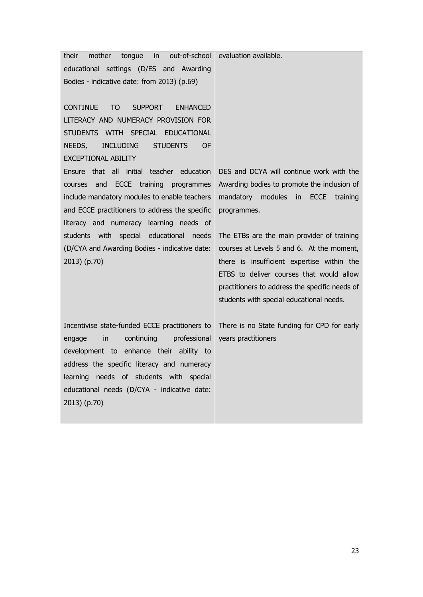| out-of-school<br>mother<br>tongue<br>$\overline{\mathsf{in}}$<br>their | evaluation available.                          |
|------------------------------------------------------------------------|------------------------------------------------|
| educational settings (D/ES and Awarding                                |                                                |
| Bodies - indicative date: from 2013) (p.69)                            |                                                |
|                                                                        |                                                |
| <b>CONTINUE</b><br><b>SUPPORT</b><br>TO<br><b>ENHANCED</b>             |                                                |
| LITERACY AND NUMERACY PROVISION FOR                                    |                                                |
| STUDENTS WITH SPECIAL EDUCATIONAL                                      |                                                |
| <b>INCLUDING</b><br><b>STUDENTS</b><br><b>OF</b><br>NEEDS,             |                                                |
| <b>EXCEPTIONAL ABILITY</b>                                             |                                                |
| all initial teacher education<br>Ensure that                           | DES and DCYA will continue work with the       |
| courses and ECCE training programmes                                   | Awarding bodies to promote the inclusion of    |
| include mandatory modules to enable teachers                           | mandatory modules in<br>ECCE<br>training       |
| and ECCE practitioners to address the specific                         | programmes.                                    |
| literacy and numeracy learning needs of                                |                                                |
| students with special educational<br>needs                             | The ETBs are the main provider of training     |
| (D/CYA and Awarding Bodies - indicative date:                          | courses at Levels 5 and 6. At the moment,      |
| 2013) (p.70)                                                           | there is insufficient expertise within the     |
|                                                                        | ETBS to deliver courses that would allow       |
|                                                                        | practitioners to address the specific needs of |
|                                                                        | students with special educational needs.       |
| Incentivise state-funded ECCE practitioners to                         | There is no State funding for CPD for early    |
| professional<br>continuing<br>engage<br>in                             | years practitioners                            |
| development to enhance their ability to                                |                                                |
| address the specific literacy and numeracy                             |                                                |
| learning needs of students with special                                |                                                |
| educational needs (D/CYA - indicative date:                            |                                                |
| 2013) (p.70)                                                           |                                                |
|                                                                        |                                                |
|                                                                        |                                                |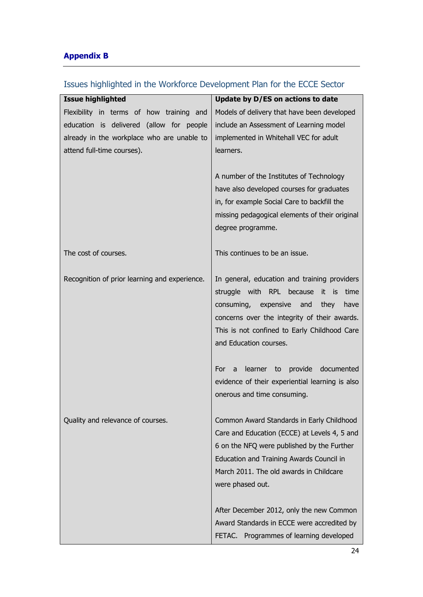# **Appendix B**

| <b>Issue highlighted</b>                      | Update by D/ES on actions to date                       |
|-----------------------------------------------|---------------------------------------------------------|
| Flexibility in terms of how training and      | Models of delivery that have been developed             |
| education is delivered (allow for people      | include an Assessment of Learning model                 |
| already in the workplace who are unable to    | implemented in Whitehall VEC for adult                  |
| attend full-time courses).                    | learners.                                               |
|                                               |                                                         |
|                                               | A number of the Institutes of Technology                |
|                                               | have also developed courses for graduates               |
|                                               | in, for example Social Care to backfill the             |
|                                               | missing pedagogical elements of their original          |
|                                               | degree programme.                                       |
|                                               |                                                         |
| The cost of courses.                          | This continues to be an issue.                          |
|                                               |                                                         |
| Recognition of prior learning and experience. | In general, education and training providers            |
|                                               | struggle with RPL because it is<br>time                 |
|                                               | consuming, expensive<br>and<br>they<br>have             |
|                                               | concerns over the integrity of their awards.            |
|                                               | This is not confined to Early Childhood Care            |
|                                               | and Education courses.                                  |
|                                               | provide documented<br>For<br>learner to<br>$\mathsf{a}$ |
|                                               | evidence of their experiential learning is also         |
|                                               | onerous and time consuming.                             |
|                                               |                                                         |
| Quality and relevance of courses.             | Common Award Standards in Early Childhood               |
|                                               | Care and Education (ECCE) at Levels 4, 5 and            |
|                                               | 6 on the NFQ were published by the Further              |
|                                               | Education and Training Awards Council in                |
|                                               | March 2011. The old awards in Childcare                 |
|                                               | were phased out.                                        |
|                                               |                                                         |
|                                               | After December 2012, only the new Common                |
|                                               | Award Standards in ECCE were accredited by              |
|                                               | FETAC. Programmes of learning developed                 |

# Issues highlighted in the Workforce Development Plan for the ECCE Sector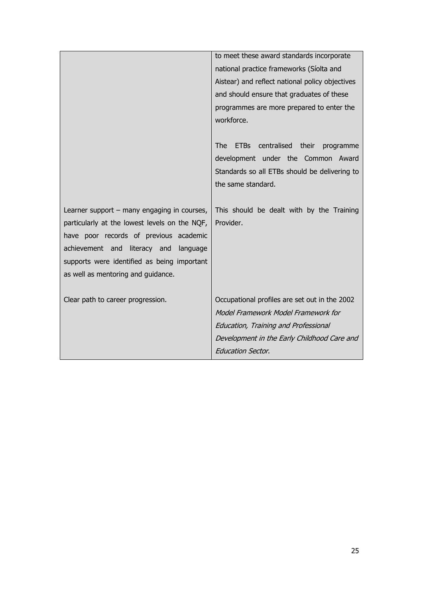|                                               | to meet these award standards incorporate         |
|-----------------------------------------------|---------------------------------------------------|
|                                               | national practice frameworks (Síolta and          |
|                                               | Aistear) and reflect national policy objectives   |
|                                               | and should ensure that graduates of these         |
|                                               | programmes are more prepared to enter the         |
|                                               | workforce.                                        |
|                                               |                                                   |
|                                               | ETBs centralised their<br><b>The</b><br>programme |
|                                               | development under the Common Award                |
|                                               | Standards so all ETBs should be delivering to     |
|                                               | the same standard.                                |
|                                               |                                                   |
| Learner support - many engaging in courses,   | This should be dealt with by the Training         |
| particularly at the lowest levels on the NQF, | Provider.                                         |
| have poor records of previous academic        |                                                   |
| achievement and literacy and<br>language      |                                                   |
| supports were identified as being important   |                                                   |
|                                               |                                                   |
| as well as mentoring and guidance.            |                                                   |
|                                               |                                                   |
| Clear path to career progression.             | Occupational profiles are set out in the 2002     |
|                                               | Model Framework Model Framework for               |
|                                               | Education, Training and Professional              |
|                                               | Development in the Early Childhood Care and       |
|                                               | <b>Education Sector.</b>                          |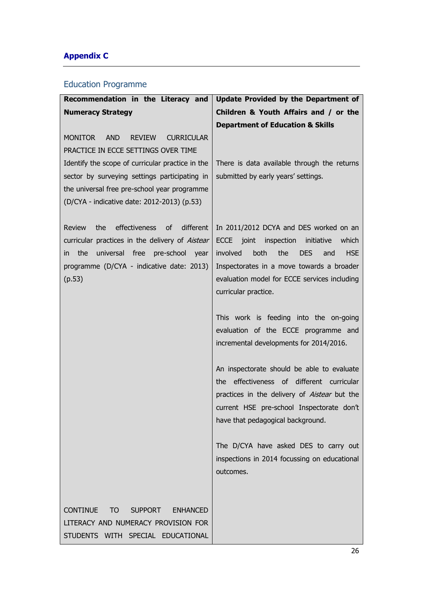# **Appendix C**

# Education Programme

| Recommendation in the Literacy and                                                                                                                                                                                                       | <b>Update Provided by the Department of</b>                                                                                                                                                                                                                                  |
|------------------------------------------------------------------------------------------------------------------------------------------------------------------------------------------------------------------------------------------|------------------------------------------------------------------------------------------------------------------------------------------------------------------------------------------------------------------------------------------------------------------------------|
| <b>Numeracy Strategy</b>                                                                                                                                                                                                                 | Children & Youth Affairs and / or the                                                                                                                                                                                                                                        |
|                                                                                                                                                                                                                                          | <b>Department of Education &amp; Skills</b>                                                                                                                                                                                                                                  |
| <b>AND</b><br><b>MONITOR</b><br><b>REVIEW</b><br><b>CURRICULAR</b><br>PRACTICE IN ECCE SETTINGS OVER TIME                                                                                                                                |                                                                                                                                                                                                                                                                              |
| Identify the scope of curricular practice in the                                                                                                                                                                                         | There is data available through the returns                                                                                                                                                                                                                                  |
| sector by surveying settings participating in                                                                                                                                                                                            | submitted by early years' settings.                                                                                                                                                                                                                                          |
| the universal free pre-school year programme                                                                                                                                                                                             |                                                                                                                                                                                                                                                                              |
| (D/CYA - indicative date: 2012-2013) (p.53)                                                                                                                                                                                              |                                                                                                                                                                                                                                                                              |
| different<br>the<br>effectiveness<br>$\circ$ f<br><b>Review</b><br>curricular practices in the delivery of Aistear<br>universal free<br>pre-school<br>the<br>year<br>$\mathsf{I}$<br>programme (D/CYA - indicative date: 2013)<br>(p.53) | In 2011/2012 DCYA and DES worked on an<br>inspection<br>ECCE joint<br>initiative<br>which<br>involved<br>both<br>the<br><b>DES</b><br><b>HSE</b><br>and<br>Inspectorates in a move towards a broader<br>evaluation model for ECCE services including<br>curricular practice. |
|                                                                                                                                                                                                                                          | This work is feeding into the on-going<br>evaluation of the ECCE programme and<br>incremental developments for 2014/2016.                                                                                                                                                    |
|                                                                                                                                                                                                                                          | An inspectorate should be able to evaluate<br>effectiveness of different curricular<br>the<br>practices in the delivery of Aistear but the<br>current HSE pre-school Inspectorate don't<br>have that pedagogical background.                                                 |
|                                                                                                                                                                                                                                          | The D/CYA have asked DES to carry out<br>inspections in 2014 focussing on educational<br>outcomes.                                                                                                                                                                           |
| <b>CONTINUE</b><br><b>SUPPORT</b><br><b>ENHANCED</b><br>TO                                                                                                                                                                               |                                                                                                                                                                                                                                                                              |
| LITERACY AND NUMERACY PROVISION FOR                                                                                                                                                                                                      |                                                                                                                                                                                                                                                                              |
| STUDENTS WITH SPECIAL EDUCATIONAL                                                                                                                                                                                                        |                                                                                                                                                                                                                                                                              |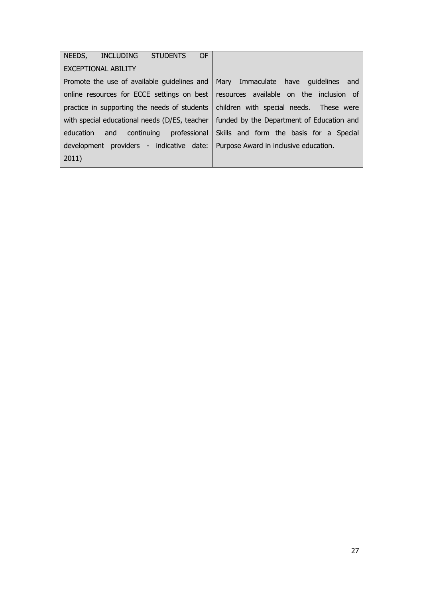| 0F<br>NEEDS,<br>INCLUDING STUDENTS            |                                           |
|-----------------------------------------------|-------------------------------------------|
| <b>EXCEPTIONAL ABILITY</b>                    |                                           |
| Promote the use of available guidelines and   | Mary Immaculate have guidelines and       |
| online resources for ECCE settings on best    | resources available on the inclusion of   |
| practice in supporting the needs of students  | children with special needs. These were   |
| with special educational needs (D/ES, teacher | funded by the Department of Education and |
| and continuing professional<br>education      | Skills and form the basis for a Special   |
| development providers - indicative date:      | Purpose Award in inclusive education.     |
| 2011)                                         |                                           |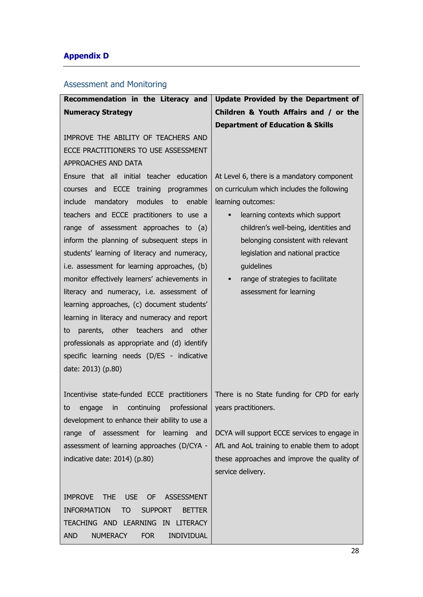# **Appendix D**

# Assessment and Monitoring

| Recommendation in the Literacy and                                                                                                                                                                                                                                                                                                                                                                                                                                                 | Update Provided by the Department of                                                                                                                                                                                                                                                                                                                          |
|------------------------------------------------------------------------------------------------------------------------------------------------------------------------------------------------------------------------------------------------------------------------------------------------------------------------------------------------------------------------------------------------------------------------------------------------------------------------------------|---------------------------------------------------------------------------------------------------------------------------------------------------------------------------------------------------------------------------------------------------------------------------------------------------------------------------------------------------------------|
| <b>Numeracy Strategy</b>                                                                                                                                                                                                                                                                                                                                                                                                                                                           | Children & Youth Affairs and / or the                                                                                                                                                                                                                                                                                                                         |
|                                                                                                                                                                                                                                                                                                                                                                                                                                                                                    | <b>Department of Education &amp; Skills</b>                                                                                                                                                                                                                                                                                                                   |
| IMPROVE THE ABILITY OF TEACHERS AND                                                                                                                                                                                                                                                                                                                                                                                                                                                |                                                                                                                                                                                                                                                                                                                                                               |
| ECCE PRACTITIONERS TO USE ASSESSMENT                                                                                                                                                                                                                                                                                                                                                                                                                                               |                                                                                                                                                                                                                                                                                                                                                               |
| APPROACHES AND DATA                                                                                                                                                                                                                                                                                                                                                                                                                                                                |                                                                                                                                                                                                                                                                                                                                                               |
| Ensure that all initial teacher education<br><b>ECCE</b><br>training<br>courses and<br>programmes<br>include<br>mandatory<br>modules to<br>enable<br>teachers and ECCE practitioners to use a<br>range of assessment approaches to (a)<br>inform the planning of subsequent steps in<br>students' learning of literacy and numeracy,<br>i.e. assessment for learning approaches, (b)<br>monitor effectively learners' achievements in<br>literacy and numeracy, i.e. assessment of | At Level 6, there is a mandatory component<br>on curriculum which includes the following<br>learning outcomes:<br>learning contexts which support<br>٠<br>children's well-being, identities and<br>belonging consistent with relevant<br>legislation and national practice<br>quidelines<br>range of strategies to facilitate<br>٠<br>assessment for learning |
| learning approaches, (c) document students'<br>learning in literacy and numeracy and report<br>parents, other teachers and<br>other<br>to<br>professionals as appropriate and (d) identify<br>specific learning needs (D/ES - indicative<br>date: 2013) (p.80)                                                                                                                                                                                                                     |                                                                                                                                                                                                                                                                                                                                                               |
| Incentivise state-funded ECCE practitioners<br>professional<br>continuing<br>to<br>engage<br>in<br>development to enhance their ability to use a                                                                                                                                                                                                                                                                                                                                   | There is no State funding for CPD for early<br>years practitioners.                                                                                                                                                                                                                                                                                           |
| range of assessment for learning and<br>assessment of learning approaches (D/CYA -<br>indicative date: 2014) (p.80)                                                                                                                                                                                                                                                                                                                                                                | DCYA will support ECCE services to engage in<br>AfL and AoL training to enable them to adopt<br>these approaches and improve the quality of<br>service delivery.                                                                                                                                                                                              |
| <b>IMPROVE</b><br><b>THE</b><br><b>USE</b><br><b>OF</b><br><b>ASSESSMENT</b><br><b>INFORMATION</b><br><b>SUPPORT</b><br><b>TO</b><br><b>BETTER</b><br>TEACHING AND LEARNING IN<br><b>LITERACY</b><br><b>NUMERACY</b><br><b>INDIVIDUAL</b><br><b>AND</b><br><b>FOR</b>                                                                                                                                                                                                              |                                                                                                                                                                                                                                                                                                                                                               |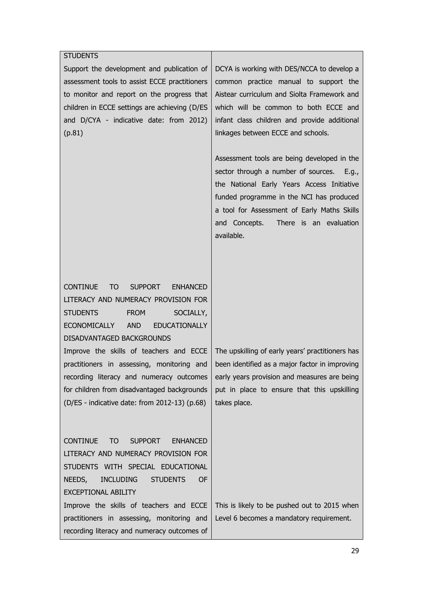## STUDENTS Support the development and publication of assessment tools to assist ECCE practitioners to monitor and report on the progress that children in ECCE settings are achieving (D/ES and D/CYA - indicative date: from 2012) (p.81) DCYA is working with DES/NCCA to develop a common practice manual to support the Aistear curriculum and Siolta Framework and which will be common to both ECCE and infant class children and provide additional linkages between ECCE and schools. Assessment tools are being developed in the sector through a number of sources. E.g., the National Early Years Access Initiative funded programme in the NCI has produced a tool for Assessment of Early Maths Skills and Concepts. There is an evaluation available. CONTINUE TO SUPPORT ENHANCED LITERACY AND NUMERACY PROVISION FOR STUDENTS FROM SOCIALLY, ECONOMICALLY AND EDUCATIONALLY DISADVANTAGED BACKGROUNDS Improve the skills of teachers and ECCE practitioners in assessing, monitoring and recording literacy and numeracy outcomes for children from disadvantaged backgrounds (D/ES - indicative date: from 2012-13) (p.68) The upskilling of early years' practitioners has been identified as a major factor in improving early years provision and measures are being put in place to ensure that this upskilling takes place. CONTINUE TO SUPPORT ENHANCED LITERACY AND NUMERACY PROVISION FOR STUDENTS WITH SPECIAL EDUCATIONAL NEEDS, INCLUDING STUDENTS OF EXCEPTIONAL ABILITY Improve the skills of teachers and ECCE practitioners in assessing, monitoring and recording literacy and numeracy outcomes of This is likely to be pushed out to 2015 when Level 6 becomes a mandatory requirement.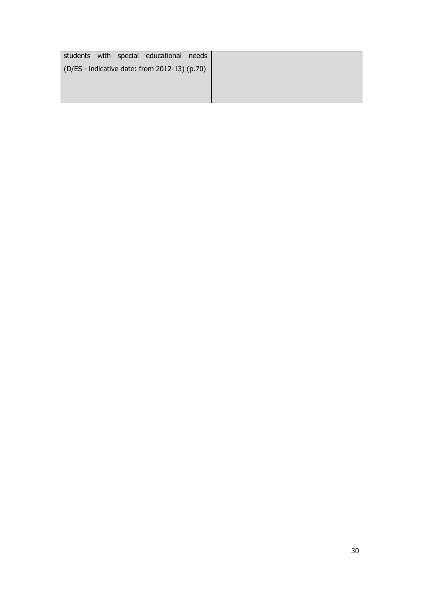|  | students with special educational needs       |  |
|--|-----------------------------------------------|--|
|  | (D/ES - indicative date: from 2012-13) (p.70) |  |
|  |                                               |  |
|  |                                               |  |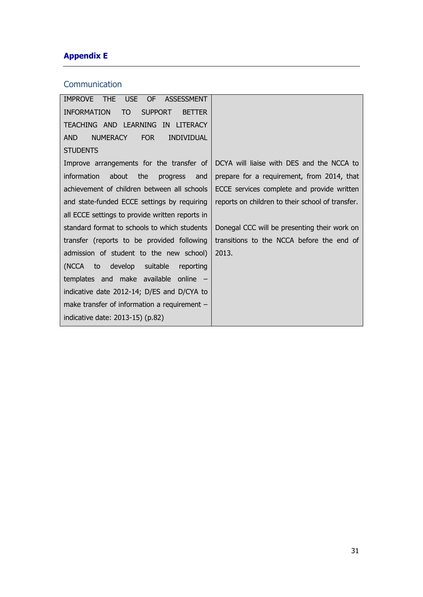# **Appendix E**

## **Communication**

| IMPROVE THE USE OF ASSESSMENT                               |                                                  |
|-------------------------------------------------------------|--------------------------------------------------|
| <b>SUPPORT</b><br><b>INFORMATION</b><br>TO<br><b>BETTER</b> |                                                  |
| TEACHING AND LEARNING IN LITERACY                           |                                                  |
| <b>INDIVIDUAL</b><br>AND.<br>NUMERACY<br><b>FOR</b>         |                                                  |
| <b>STUDENTS</b>                                             |                                                  |
| Improve arrangements for the transfer of                    | DCYA will liaise with DES and the NCCA to        |
| about<br>the<br>information<br>progress and                 | prepare for a requirement, from 2014, that       |
| achievement of children between all schools                 | ECCE services complete and provide written       |
| and state-funded ECCE settings by requiring                 | reports on children to their school of transfer. |
| all ECCE settings to provide written reports in             |                                                  |
| standard format to schools to which students                | Donegal CCC will be presenting their work on     |
| transfer (reports to be provided following                  | transitions to the NCCA before the end of        |
| admission of student to the new school)                     | 2013.                                            |
| (NCCA to develop suitable<br>reporting                      |                                                  |
| templates and make available online -                       |                                                  |
| indicative date 2012-14; D/ES and D/CYA to                  |                                                  |
| make transfer of information a requirement $-$              |                                                  |
| indicative date: 2013-15) (p.82)                            |                                                  |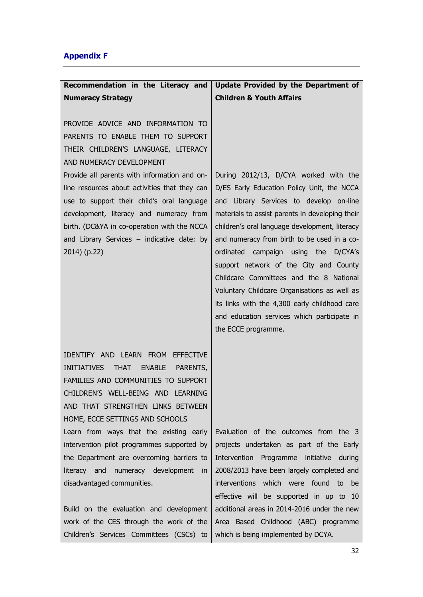# **Appendix F**

| Recommendation in the Literacy and                                                                                                                                                                                                                                                       | Update Provided by the Department of                                                                                                                                                                                                                                                                                                                                                                                                                 |
|------------------------------------------------------------------------------------------------------------------------------------------------------------------------------------------------------------------------------------------------------------------------------------------|------------------------------------------------------------------------------------------------------------------------------------------------------------------------------------------------------------------------------------------------------------------------------------------------------------------------------------------------------------------------------------------------------------------------------------------------------|
| <b>Numeracy Strategy</b>                                                                                                                                                                                                                                                                 | <b>Children &amp; Youth Affairs</b>                                                                                                                                                                                                                                                                                                                                                                                                                  |
| PROVIDE ADVICE AND INFORMATION TO<br>PARENTS TO ENABLE THEM TO SUPPORT<br>THEIR CHILDREN'S LANGUAGE, LITERACY<br>AND NUMERACY DEVELOPMENT<br>Provide all parents with information and on-<br>line resources about activities that they can<br>use to support their child's oral language | During 2012/13, D/CYA worked with the<br>D/ES Early Education Policy Unit, the NCCA<br>and Library Services to develop on-line                                                                                                                                                                                                                                                                                                                       |
| development, literacy and numeracy from<br>birth. (DC&YA in co-operation with the NCCA<br>and Library Services $-$ indicative date: by<br>2014) (p.22)                                                                                                                                   | materials to assist parents in developing their<br>children's oral language development, literacy<br>and numeracy from birth to be used in a co-<br>ordinated campaign using the D/CYA's<br>support network of the City and County<br>Childcare Committees and the 8 National<br>Voluntary Childcare Organisations as well as<br>its links with the 4,300 early childhood care<br>and education services which participate in<br>the ECCE programme. |
| IDENTIFY AND LEARN FROM<br><b>EFFECTIVE</b><br><b>INITIATIVES</b><br><b>THAT</b><br><b>ENABLE</b><br>PARENTS,<br>FAMILIES AND COMMUNITIES TO SUPPORT<br>CHILDREN'S WELL-BEING AND LEARNING<br>AND THAT STRENGTHEN LINKS BETWEEN<br>HOME, ECCE SETTINGS AND SCHOOLS                       |                                                                                                                                                                                                                                                                                                                                                                                                                                                      |
| Learn from ways that the existing early<br>intervention pilot programmes supported by<br>the Department are overcoming barriers to<br>numeracy development in<br>literacy and<br>disadvantaged communities.                                                                              | Evaluation of the outcomes from the 3<br>projects undertaken as part of the Early<br>Intervention Programme initiative during<br>2008/2013 have been largely completed and<br>interventions which were found<br>to<br>be<br>effective will be supported in up to 10                                                                                                                                                                                  |
| Build on the evaluation and development<br>work of the CES through the work of the<br>Children's Services Committees (CSCs) to                                                                                                                                                           | additional areas in 2014-2016 under the new<br>Area Based Childhood (ABC) programme<br>which is being implemented by DCYA.                                                                                                                                                                                                                                                                                                                           |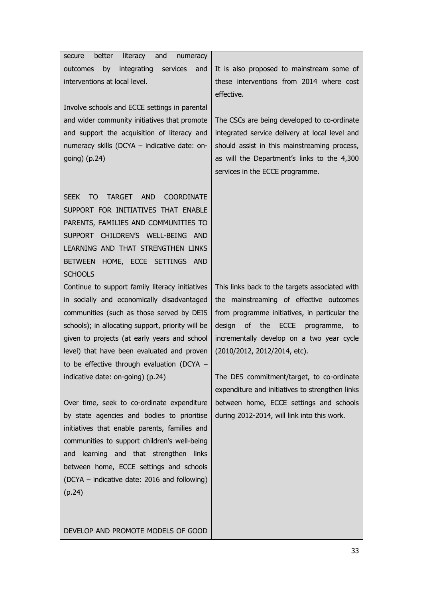| better<br>literacy<br>and<br>numeracy<br>secure                       |                                                 |
|-----------------------------------------------------------------------|-------------------------------------------------|
| integrating<br>services<br>by<br>outcomes<br>and                      | It is also proposed to mainstream some of       |
| interventions at local level.                                         | these interventions from 2014 where cost        |
|                                                                       | effective.                                      |
| Involve schools and ECCE settings in parental                         |                                                 |
| and wider community initiatives that promote                          | The CSCs are being developed to co-ordinate     |
| and support the acquisition of literacy and                           | integrated service delivery at local level and  |
| numeracy skills (DCYA - indicative date: on-                          | should assist in this mainstreaming process,    |
| going) $(p.24)$                                                       | as will the Department's links to the 4,300     |
|                                                                       | services in the ECCE programme.                 |
|                                                                       |                                                 |
| <b>TO</b><br><b>TARGET</b><br><b>AND</b><br><b>COORDINATE</b><br>SEEK |                                                 |
|                                                                       |                                                 |
| SUPPORT FOR INITIATIVES THAT ENABLE                                   |                                                 |
| PARENTS, FAMILIES AND COMMUNITIES TO                                  |                                                 |
| SUPPORT CHILDREN'S WELL-BEING AND                                     |                                                 |
| LEARNING AND THAT STRENGTHEN LINKS                                    |                                                 |
| HOME, ECCE SETTINGS AND<br><b>BETWEEN</b>                             |                                                 |
| <b>SCHOOLS</b>                                                        |                                                 |
| Continue to support family literacy initiatives                       | This links back to the targets associated with  |
| in socially and economically disadvantaged                            | the mainstreaming of effective outcomes         |
| communities (such as those served by DEIS                             | from programme initiatives, in particular the   |
| schools); in allocating support, priority will be                     | design<br>of the ECCE<br>programme, to          |
| given to projects (at early years and school                          | incrementally develop on a two year cycle       |
| level) that have been evaluated and proven                            | (2010/2012, 2012/2014, etc).                    |
| to be effective through evaluation (DCYA -                            |                                                 |
| indicative date: on-going) (p.24)                                     | The DES commitment/target, to co-ordinate       |
|                                                                       | expenditure and initiatives to strengthen links |
| Over time, seek to co-ordinate expenditure                            | between home, ECCE settings and schools         |
| by state agencies and bodies to prioritise                            | during 2012-2014, will link into this work.     |
| initiatives that enable parents, families and                         |                                                 |
| communities to support children's well-being                          |                                                 |
| and learning and that strengthen links                                |                                                 |
| between home, ECCE settings and schools                               |                                                 |
| (DCYA – indicative date: 2016 and following)                          |                                                 |
|                                                                       |                                                 |
| (p.24)                                                                |                                                 |
|                                                                       |                                                 |
|                                                                       |                                                 |
| DEVELOP AND PROMOTE MODELS OF GOOD                                    |                                                 |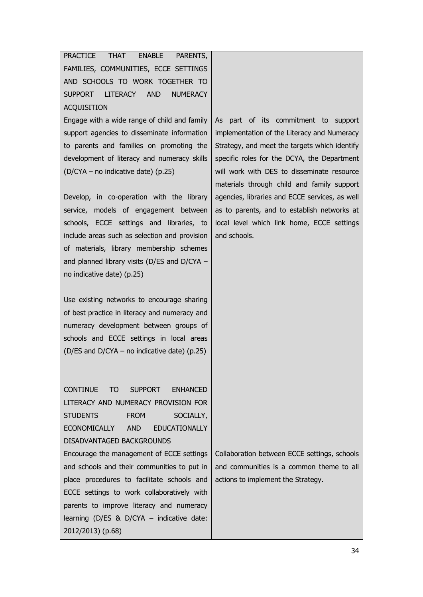PRACTICE THAT ENABLE PARENTS, FAMILIES, COMMUNITIES, ECCE SETTINGS AND SCHOOLS TO WORK TOGETHER TO SUPPORT LITERACY AND NUMERACY **ACOUISITION** 

Engage with a wide range of child and family support agencies to disseminate information to parents and families on promoting the development of literacy and numeracy skills (D/CYA – no indicative date) (p.25)

Develop, in co-operation with the library service, models of engagement between schools, ECCE settings and libraries, to include areas such as selection and provision of materials, library membership schemes and planned library visits (D/ES and D/CYA – no indicative date) (p.25)

Use existing networks to encourage sharing of best practice in literacy and numeracy and numeracy development between groups of schools and ECCE settings in local areas (D/ES and D/CYA – no indicative date) (p.25)

CONTINUE TO SUPPORT ENHANCED LITERACY AND NUMERACY PROVISION FOR STUDENTS FROM SOCIALLY, ECONOMICALLY AND EDUCATIONALLY DISADVANTAGED BACKGROUNDS Encourage the management of ECCE settings and schools and their communities to put in place procedures to facilitate schools and ECCE settings to work collaboratively with parents to improve literacy and numeracy learning (D/ES & D/CYA – indicative date: 2012/2013) (p.68)

As part of its commitment to support implementation of the Literacy and Numeracy Strategy, and meet the targets which identify specific roles for the DCYA, the Department will work with DES to disseminate resource materials through child and family support agencies, libraries and ECCE services, as well as to parents, and to establish networks at local level which link home, ECCE settings and schools.

Collaboration between ECCE settings, schools and communities is a common theme to all actions to implement the Strategy.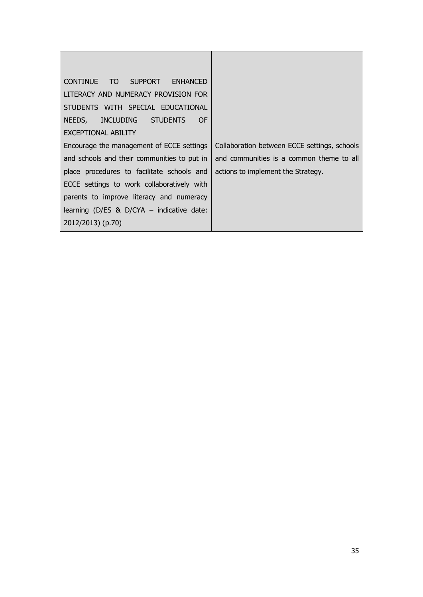| TO SUPPORT ENHANCED<br><b>CONTINUE</b>      |                                              |
|---------------------------------------------|----------------------------------------------|
| LITERACY AND NUMERACY PROVISION FOR         |                                              |
| STUDENTS WITH SPECIAL EDUCATIONAL           |                                              |
| NEEDS, INCLUDING STUDENTS<br><b>OF</b>      |                                              |
| EXCEPTIONAL ABILITY                         |                                              |
| Encourage the management of ECCE settings   | Collaboration between ECCE settings, schools |
| and schools and their communities to put in | and communities is a common theme to all     |
| place procedures to facilitate schools and  | actions to implement the Strategy.           |
| ECCE settings to work collaboratively with  |                                              |
| parents to improve literacy and numeracy    |                                              |
| learning (D/ES & D/CYA $-$ indicative date: |                                              |
| 2012/2013) (p.70)                           |                                              |

T

 $\overline{\phantom{0}}$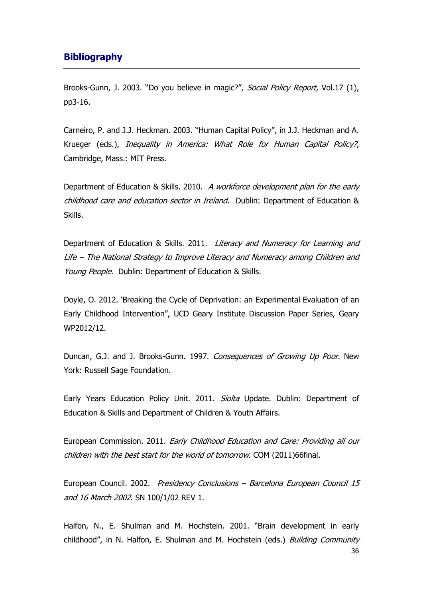## **Bibliography**

Brooks-Gunn, J. 2003. "Do you believe in magic?", Social Policy Report, Vol.17 (1), pp3-16.

Carneiro, P. and J.J. Heckman. 2003. "Human Capital Policy", in J.J. Heckman and A. Krueger (eds.), Inequality in America: What Role for Human Capital Policy?, Cambridge, Mass.: MIT Press.

Department of Education & Skills. 2010. A workforce development plan for the early childhood care and education sector in Ireland. Dublin: Department of Education & Skills.

Department of Education & Skills. 2011. Literacy and Numeracy for Learning and Life – The National Strategy to Improve Literacy and Numeracy among Children and Young People. Dublin: Department of Education & Skills.

Doyle, O. 2012. 'Breaking the Cycle of Deprivation: an Experimental Evaluation of an Early Childhood Intervention", UCD Geary Institute Discussion Paper Series, Geary WP2012/12.

Duncan, G.J. and J. Brooks-Gunn. 1997. Consequences of Growing Up Poor. New York: Russell Sage Foundation.

Early Years Education Policy Unit. 2011. Siolta Update. Dublin: Department of Education & Skills and Department of Children & Youth Affairs.

European Commission. 2011. Early Childhood Education and Care: Providing all our children with the best start for the world of tomorrow. COM (2011)66final.

European Council. 2002. Presidency Conclusions – Barcelona European Council 15 and 16 March 2002. SN 100/1/02 REV 1.

36 Halfon, N., E. Shulman and M. Hochstein. 2001. "Brain development in early childhood", in N. Halfon, E. Shulman and M. Hochstein (eds.) Building Community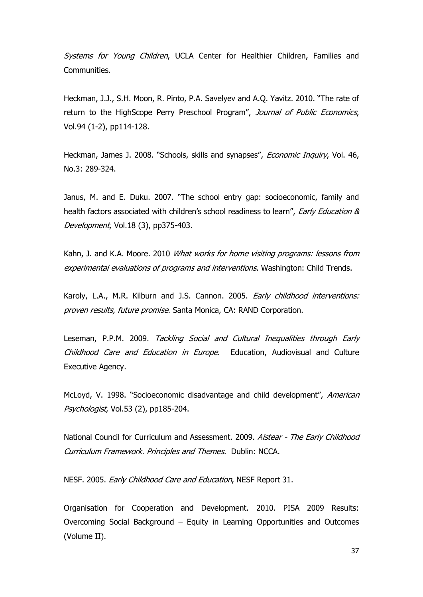Systems for Young Children, UCLA Center for Healthier Children, Families and Communities.

Heckman, J.J., S.H. Moon, R. Pinto, P.A. Savelyev and A.Q. Yavitz. 2010. "The rate of return to the HighScope Perry Preschool Program", Journal of Public Economics, Vol.94 (1-2), pp114-128.

Heckman, James J. 2008. "Schools, skills and synapses", *Economic Inquiry*, Vol. 46, No.3: 289-324.

Janus, M. and E. Duku. 2007. "The school entry gap: socioeconomic, family and health factors associated with children's school readiness to learn", Early Education & Development, Vol.18 (3), pp375-403.

Kahn, J. and K.A. Moore. 2010 What works for home visiting programs: lessons from experimental evaluations of programs and interventions. Washington: Child Trends.

Karoly, L.A., M.R. Kilburn and J.S. Cannon. 2005. Early childhood interventions: proven results, future promise. Santa Monica, CA: RAND Corporation.

Leseman, P.P.M. 2009. Tackling Social and Cultural Inequalities through Early Childhood Care and Education in Europe. Education, Audiovisual and Culture Executive Agency.

McLoyd, V. 1998. "Socioeconomic disadvantage and child development", American Psychologist, Vol.53 (2), pp185-204.

National Council for Curriculum and Assessment. 2009. Aistear - The Early Childhood Curriculum Framework. Principles and Themes. Dublin: NCCA.

NESF. 2005. Early Childhood Care and Education, NESF Report 31.

Organisation for Cooperation and Development. 2010. PISA 2009 Results: Overcoming Social Background – Equity in Learning Opportunities and Outcomes (Volume II).